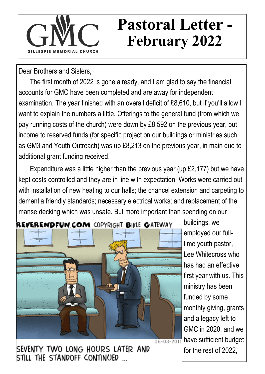## **Pastoral Letter - February 2022**

Dear Brothers and Sisters,

The first month of 2022 is gone already, and I am glad to say the financial accounts for GMC have been completed and are away for independent examination. The year finished with an overall deficit of £8,610, but if you'll allow I want to explain the numbers a little. Offerings to the general fund (from which we pay running costs of the church) were down by £8,592 on the previous year, but income to reserved funds (for specific project on our buildings or ministries such as GM3 and Youth Outreach) was up £8,213 on the previous year, in main due to additional grant funding received.

Expenditure was a little higher than the previous year (up £2,177) but we have kept costs controlled and they are in line with expectation. Works were carried out with installation of new heating to our halls; the chancel extension and carpeting to dementia friendly standards; necessary electrical works; and replacement of the manse decking which was unsafe. But more important than spending on our



buildings, we employed our fulltime youth pastor, Lee Whitecross who has had an effective first year with us. This ministry has been funded by some monthly giving, grants and a legacy left to GMC in 2020, and we  $06-03-2011$  have sufficient budget for the rest of 2022,

SEVENTY TWO LONG HOURS LATER AND STILL THE STANDOFF CONTINUED ...

#### REVERENDFUN COM COPYRIGHT BIBLE GATEWAY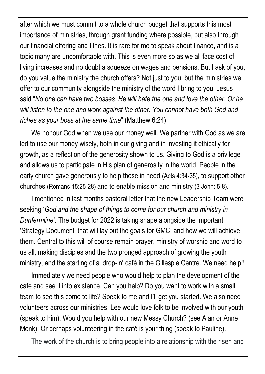after which we must commit to a whole church budget that supports this most importance of ministries, through grant funding where possible, but also through our financial offering and tithes. It is rare for me to speak about finance, and is a topic many are uncomfortable with. This is even more so as we all face cost of living increases and no doubt a squeeze on wages and pensions. But I ask of you, do you value the ministry the church offers? Not just to you, but the ministries we offer to our community alongside the ministry of the word I bring to you. Jesus said "*No one can have two bosses. He will hate the one and love the other. Or he will listen to the one and work against the other. You cannot have both God and riches as your boss at the same time*" (Matthew 6:24)

We honour God when we use our money well. We partner with God as we are led to use our money wisely, both in our giving and in investing it ethically for growth, as a reflection of the generosity shown to us. Giving to God is a privilege and allows us to participate in His plan of generosity in the world. People in the early church gave generously to help those in need (Acts 4:34-35), to support other churches (Romans 15:25-28) and to enable mission and ministry (3 John: 5-8).

I mentioned in last months pastoral letter that the new Leadership Team were seeking '*God and the shape of things to come for our church and ministry in Dunfermline'.* The budget for 2022 is taking shape alongside the important 'Strategy Document' that will lay out the goals for GMC, and how we will achieve them. Central to this will of course remain prayer, ministry of worship and word to us all, making disciples and the two pronged approach of growing the youth ministry, and the starting of a 'drop-in' café in the Gillespie Centre. We need help!!

Immediately we need people who would help to plan the development of the café and see it into existence. Can you help? Do you want to work with a small team to see this come to life? Speak to me and I'll get you started. We also need volunteers across our ministries. Lee would love folk to be involved with our youth (speak to him). Would you help with our new Messy Church? (see Alan or Anne Monk). Or perhaps volunteering in the café is your thing (speak to Pauline).

The work of the church is to bring people into a relationship with the risen and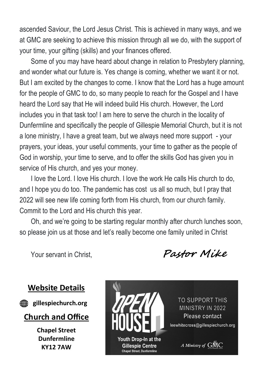ascended Saviour, the Lord Jesus Christ. This is achieved in many ways, and we at GMC are seeking to achieve this mission through all we do, with the support of your time, your gifting (skills) and your finances offered.

Some of you may have heard about change in relation to Presbytery planning, and wonder what our future is. Yes change is coming, whether we want it or not. But I am excited by the changes to come. I know that the Lord has a huge amount for the people of GMC to do, so many people to reach for the Gospel and I have heard the Lord say that He will indeed build His church. However, the Lord includes you in that task too! I am here to serve the church in the locality of Dunfermline and specifically the people of Gillespie Memorial Church, but it is not a lone ministry, I have a great team, but we always need more support - your prayers, your ideas, your useful comments, your time to gather as the people of God in worship, your time to serve, and to offer the skills God has given you in service of His church, and yes your money.

I love the Lord. I love His church. I love the work He calls His church to do, and I hope you do too. The pandemic has cost us all so much, but I pray that 2022 will see new life coming forth from His church, from our church family. Commit to the Lord and His church this year.

Oh, and we're going to be starting regular monthly after church lunches soon, so please join us at those and let's really become one family united in Christ

Your servant in Christ, **Pastor Mike**

### **Website Details**



*e* gillespiechurch.org

#### **Church and Office**

**Chapel Street Dunfermline KY12 7AW**